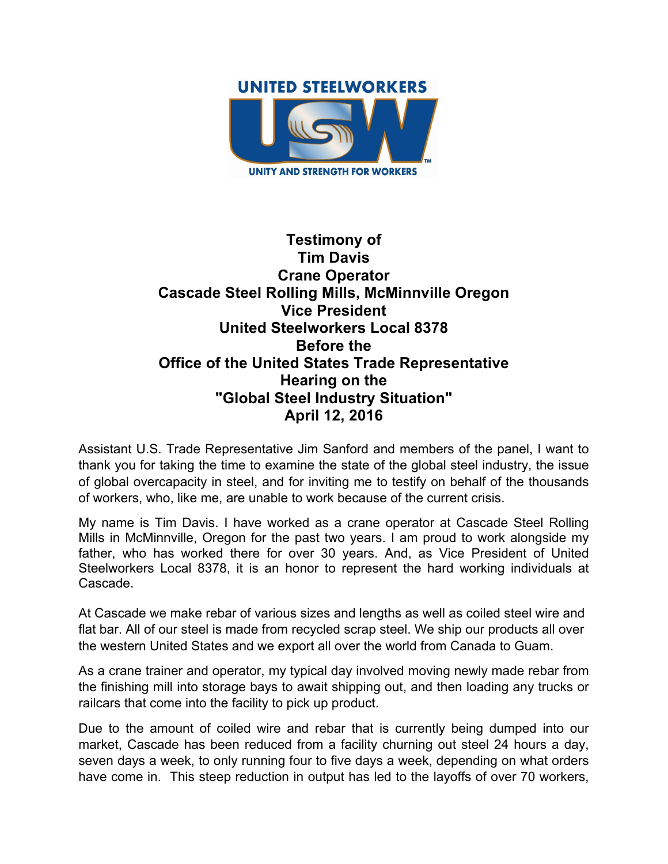

## **Testimony of Tim Davis Crane Operator Cascade Steel Rolling Mills, McMinnville Oregon Vice President United Steelworkers Local 8378 Before the Office of the United States Trade Representative Hearing on the "Global Steel Industry Situation" April 12, 2016**

Assistant U.S. Trade Representative Jim Sanford and members of the panel, I want to thank you for taking the time to examine the state of the global steel industry, the issue of global overcapacity in steel, and for inviting me to testify on behalf of the thousands of workers, who, like me, are unable to work because of the current crisis.

My name is Tim Davis. I have worked as a crane operator at Cascade Steel Rolling Mills in McMinnville, Oregon for the past two years. I am proud to work alongside my father, who has worked there for over 30 years. And, as Vice President of United Steelworkers Local 8378, it is an honor to represent the hard working individuals at Cascade.

At Cascade we make rebar of various sizes and lengths as well as coiled steel wire and flat bar. All of our steel is made from recycled scrap steel. We ship our products all over the western United States and we export all over the world from Canada to Guam.

As a crane trainer and operator, my typical day involved moving newly made rebar from the finishing mill into storage bays to await shipping out, and then loading any trucks or railcars that come into the facility to pick up product.

Due to the amount of coiled wire and rebar that is currently being dumped into our market, Cascade has been reduced from a facility churning out steel 24 hours a day, seven days a week, to only running four to five days a week, depending on what orders have come in. This steep reduction in output has led to the layoffs of over 70 workers,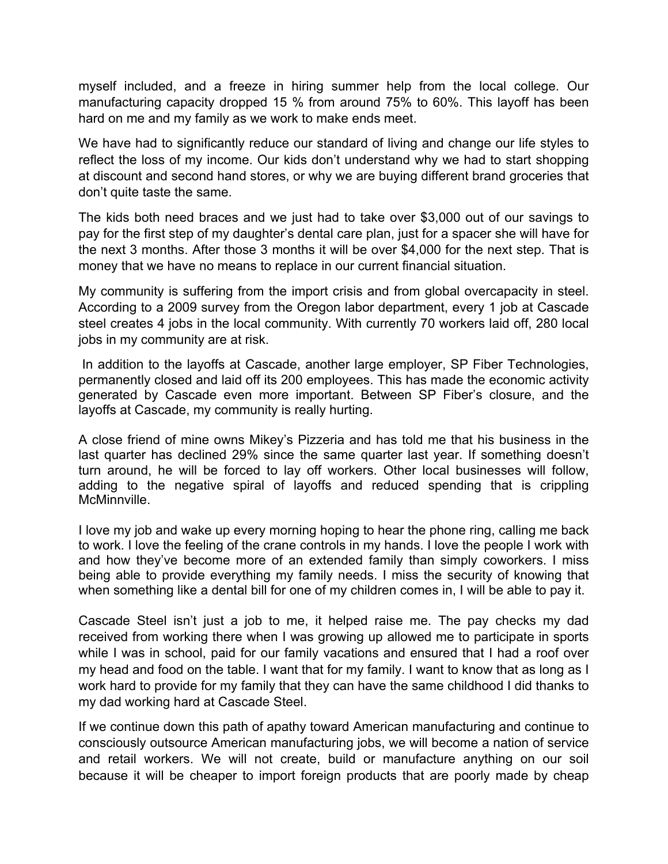myself included, and a freeze in hiring summer help from the local college. Our manufacturing capacity dropped 15 % from around 75% to 60%. This layoff has been hard on me and my family as we work to make ends meet.

We have had to significantly reduce our standard of living and change our life styles to reflect the loss of my income. Our kids don't understand why we had to start shopping at discount and second hand stores, or why we are buying different brand groceries that don't quite taste the same.

The kids both need braces and we just had to take over \$3,000 out of our savings to pay for the first step of my daughter's dental care plan, just for a spacer she will have for the next 3 months. After those 3 months it will be over \$4,000 for the next step. That is money that we have no means to replace in our current financial situation.

My community is suffering from the import crisis and from global overcapacity in steel. According to a 2009 survey from the Oregon labor department, every 1 job at Cascade steel creates 4 jobs in the local community. With currently 70 workers laid off, 280 local jobs in my community are at risk.

In addition to the layoffs at Cascade, another large employer, SP Fiber Technologies, permanently closed and laid off its 200 employees. This has made the economic activity generated by Cascade even more important. Between SP Fiber's closure, and the layoffs at Cascade, my community is really hurting.

A close friend of mine owns Mikey's Pizzeria and has told me that his business in the last quarter has declined 29% since the same quarter last year. If something doesn't turn around, he will be forced to lay off workers. Other local businesses will follow, adding to the negative spiral of layoffs and reduced spending that is crippling McMinnville.

I love my job and wake up every morning hoping to hear the phone ring, calling me back to work. I love the feeling of the crane controls in my hands. I love the people I work with and how they've become more of an extended family than simply coworkers. I miss being able to provide everything my family needs. I miss the security of knowing that when something like a dental bill for one of my children comes in, I will be able to pay it.

Cascade Steel isn't just a job to me, it helped raise me. The pay checks my dad received from working there when I was growing up allowed me to participate in sports while I was in school, paid for our family vacations and ensured that I had a roof over my head and food on the table. I want that for my family. I want to know that as long as I work hard to provide for my family that they can have the same childhood I did thanks to my dad working hard at Cascade Steel.

If we continue down this path of apathy toward American manufacturing and continue to consciously outsource American manufacturing jobs, we will become a nation of service and retail workers. We will not create, build or manufacture anything on our soil because it will be cheaper to import foreign products that are poorly made by cheap